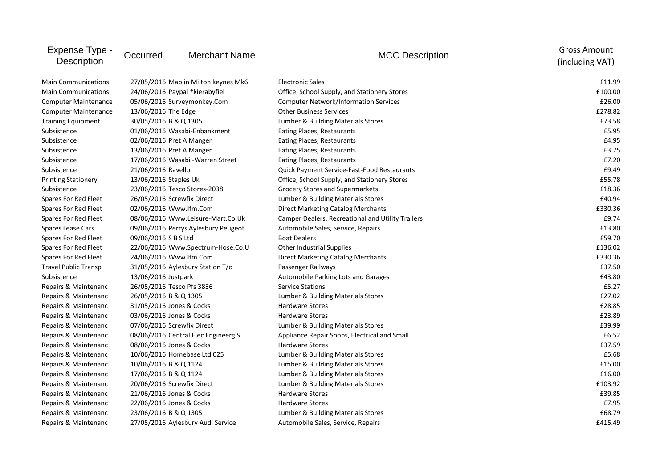| Expense Type -<br><b>Description</b> | Occurred                            | <b>Merchant Name</b>                | <b>MCC Description</b>                             | <b>Gross Amount</b><br>(including VAT) |
|--------------------------------------|-------------------------------------|-------------------------------------|----------------------------------------------------|----------------------------------------|
| <b>Main Communications</b>           | 27/05/2016 Maplin Milton keynes Mk6 |                                     | <b>Electronic Sales</b>                            | £11.99                                 |
| <b>Main Communications</b>           | 24/06/2016 Paypal *kierabyfiel      |                                     | Office, School Supply, and Stationery Stores       | £100.00                                |
| <b>Computer Maintenance</b>          | 05/06/2016 Surveymonkey.Com         |                                     | <b>Computer Network/Information Services</b>       | £26.00                                 |
| <b>Computer Maintenance</b>          | 13/06/2016 The Edge                 |                                     | <b>Other Business Services</b>                     | £278.82                                |
| <b>Training Equipment</b>            | 30/05/2016 B & Q 1305               |                                     | Lumber & Building Materials Stores                 | £73.58                                 |
| Subsistence                          | 01/06/2016 Wasabi-Enbankment        |                                     | Eating Places, Restaurants                         | £5.95                                  |
| Subsistence                          | 02/06/2016 Pret A Manger            |                                     | Eating Places, Restaurants                         | £4.95                                  |
| Subsistence                          | 13/06/2016 Pret A Manger            |                                     | Eating Places, Restaurants                         | £3.75                                  |
| Subsistence                          | 17/06/2016 Wasabi - Warren Street   |                                     | Eating Places, Restaurants                         | £7.20                                  |
| Subsistence                          | 21/06/2016 Ravello                  |                                     | <b>Quick Payment Service-Fast-Food Restaurants</b> | £9.49                                  |
| <b>Printing Stationery</b>           | 13/06/2016 Staples Uk               |                                     | Office, School Supply, and Stationery Stores       | £55.78                                 |
| Subsistence                          | 23/06/2016 Tesco Stores-2038        |                                     | Grocery Stores and Supermarkets                    | £18.36                                 |
| Spares For Red Fleet                 | 26/05/2016 Screwfix Direct          |                                     | Lumber & Building Materials Stores                 | £40.94                                 |
| Spares For Red Fleet                 | 02/06/2016 Www.lfm.Com              |                                     | Direct Marketing Catalog Merchants                 | £330.36                                |
| Spares For Red Fleet                 | 08/06/2016 Www.Leisure-Mart.Co.Uk   |                                     | Camper Dealers, Recreational and Utility Trailers  | £9.74                                  |
| Spares Lease Cars                    | 09/06/2016 Perrys Aylesbury Peugeot |                                     | Automobile Sales, Service, Repairs                 | £13.80                                 |
| Spares For Red Fleet                 | 09/06/2016 SBSLtd                   |                                     | <b>Boat Dealers</b>                                | £59.70                                 |
| Spares For Red Fleet                 | 22/06/2016 Www.Spectrum-Hose.Co.U   |                                     | Other Industrial Supplies                          | £136.02                                |
| Spares For Red Fleet                 | 24/06/2016 Www.lfm.Com              |                                     | Direct Marketing Catalog Merchants                 | £330.36                                |
| <b>Travel Public Transp</b>          | 31/05/2016 Aylesbury Station T/o    |                                     | Passenger Railways                                 | £37.50                                 |
| Subsistence                          | 13/06/2016 Justpark                 |                                     | Automobile Parking Lots and Garages                | £43.80                                 |
| Repairs & Maintenanc                 | 26/05/2016 Tesco Pfs 3836           |                                     | <b>Service Stations</b>                            | £5.27                                  |
| Repairs & Maintenanc                 | 26/05/2016 B & Q 1305               |                                     | Lumber & Building Materials Stores                 | £27.02                                 |
| Repairs & Maintenanc                 | 31/05/2016 Jones & Cocks            |                                     | <b>Hardware Stores</b>                             | £28.85                                 |
| Repairs & Maintenanc                 | 03/06/2016 Jones & Cocks            |                                     | <b>Hardware Stores</b>                             | £23.89                                 |
| Repairs & Maintenanc                 | 07/06/2016 Screwfix Direct          |                                     | Lumber & Building Materials Stores                 | £39.99                                 |
| Repairs & Maintenanc                 |                                     | 08/06/2016 Central Elec Engineerg S | Appliance Repair Shops, Electrical and Small       | £6.52                                  |
| Repairs & Maintenanc                 | 08/06/2016 Jones & Cocks            |                                     | <b>Hardware Stores</b>                             | £37.59                                 |
| Repairs & Maintenanc                 | 10/06/2016 Homebase Ltd 025         |                                     | Lumber & Building Materials Stores                 | £5.68                                  |
| Repairs & Maintenanc                 | 10/06/2016 B & Q 1124               |                                     | Lumber & Building Materials Stores                 | £15.00                                 |
| Repairs & Maintenanc                 | 17/06/2016 B & Q 1124               |                                     | Lumber & Building Materials Stores                 | £16.00                                 |
| Repairs & Maintenanc                 | 20/06/2016 Screwfix Direct          |                                     | Lumber & Building Materials Stores                 | £103.92                                |
| Repairs & Maintenanc                 | 21/06/2016 Jones & Cocks            |                                     | <b>Hardware Stores</b>                             | £39.85                                 |
| Repairs & Maintenanc                 | 22/06/2016 Jones & Cocks            |                                     | <b>Hardware Stores</b>                             | £7.95                                  |
| Repairs & Maintenanc                 | 23/06/2016 B & Q 1305               |                                     | Lumber & Building Materials Stores                 | £68.79                                 |
| Repairs & Maintenanc                 |                                     | 27/05/2016 Aylesbury Audi Service   | Automobile Sales, Service, Repairs                 | £415.49                                |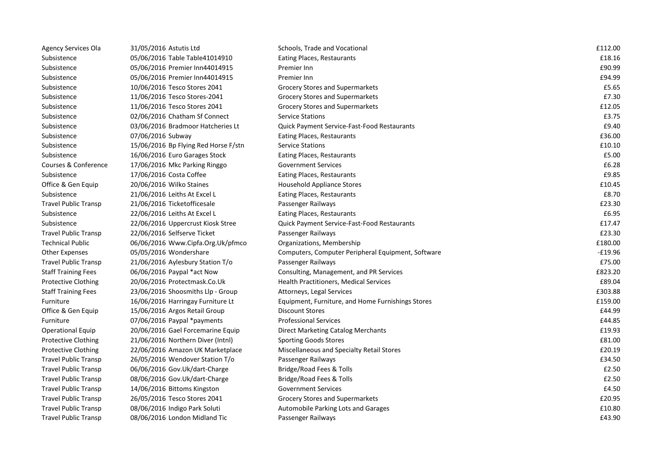| Agency Services Ola         | 31/05/2016 Astutis Ltd               | Schools, Trade and Vocational                      | £112.00   |
|-----------------------------|--------------------------------------|----------------------------------------------------|-----------|
| Subsistence                 | 05/06/2016 Table Table41014910       | Eating Places, Restaurants                         | £18.16    |
| Subsistence                 | 05/06/2016 Premier Inn44014915       | Premier Inn                                        | £90.99    |
| Subsistence                 | 05/06/2016 Premier Inn44014915       | Premier Inn                                        | £94.99    |
| Subsistence                 | 10/06/2016 Tesco Stores 2041         | Grocery Stores and Supermarkets                    | £5.65     |
| Subsistence                 | 11/06/2016 Tesco Stores-2041         | Grocery Stores and Supermarkets                    | £7.30     |
| Subsistence                 | 11/06/2016 Tesco Stores 2041         | Grocery Stores and Supermarkets                    | £12.05    |
| Subsistence                 | 02/06/2016 Chatham Sf Connect        | <b>Service Stations</b>                            | £3.75     |
| Subsistence                 | 03/06/2016 Bradmoor Hatcheries Lt    | Quick Payment Service-Fast-Food Restaurants        | £9.40     |
| Subsistence                 | 07/06/2016 Subway                    | Eating Places, Restaurants                         | £36.00    |
| Subsistence                 | 15/06/2016 Bp Flying Red Horse F/stn | <b>Service Stations</b>                            | £10.10    |
| Subsistence                 | 16/06/2016 Euro Garages Stock        | Eating Places, Restaurants                         | £5.00     |
| Courses & Conference        | 17/06/2016 Mkc Parking Ringgo        | <b>Government Services</b>                         | £6.28     |
| Subsistence                 | 17/06/2016 Costa Coffee              | <b>Eating Places, Restaurants</b>                  | £9.85     |
| Office & Gen Equip          | 20/06/2016 Wilko Staines             | <b>Household Appliance Stores</b>                  | £10.45    |
| Subsistence                 | 21/06/2016 Leiths At Excel L         | Eating Places, Restaurants                         | £8.70     |
| <b>Travel Public Transp</b> | 21/06/2016 Ticketofficesale          | Passenger Railways                                 | £23.30    |
| Subsistence                 | 22/06/2016 Leiths At Excel L         | Eating Places, Restaurants                         | £6.95     |
| Subsistence                 | 22/06/2016 Uppercrust Kiosk Stree    | Quick Payment Service-Fast-Food Restaurants        | £17.47    |
| <b>Travel Public Transp</b> | 22/06/2016 Selfserve Ticket          | Passenger Railways                                 | £23.30    |
| <b>Technical Public</b>     | 06/06/2016 Www.Cipfa.Org.Uk/pfmco    | Organizations, Membership                          | £180.00   |
| <b>Other Expenses</b>       | 05/05/2016 Wondershare               | Computers, Computer Peripheral Equipment, Software | $-£19.96$ |
| <b>Travel Public Transp</b> | 21/06/2016 Aylesbury Station T/o     | Passenger Railways                                 | £75.00    |
| <b>Staff Training Fees</b>  | 06/06/2016 Paypal *act Now           | Consulting, Management, and PR Services            | £823.20   |
| <b>Protective Clothing</b>  | 20/06/2016 Protectmask.Co.Uk         | Health Practitioners, Medical Services             | £89.04    |
| <b>Staff Training Fees</b>  | 23/06/2016 Shoosmiths Llp - Group    | Attorneys, Legal Services                          | £303.88   |
| Furniture                   | 16/06/2016 Harringay Furniture Lt    | Equipment, Furniture, and Home Furnishings Stores  | £159.00   |
| Office & Gen Equip          | 15/06/2016 Argos Retail Group        | <b>Discount Stores</b>                             | £44.99    |
| Furniture                   | 07/06/2016 Paypal *payments          | <b>Professional Services</b>                       | £44.85    |
| <b>Operational Equip</b>    | 20/06/2016 Gael Forcemarine Equip    | Direct Marketing Catalog Merchants                 | £19.93    |
| <b>Protective Clothing</b>  | 21/06/2016 Northern Diver (Intnl)    | <b>Sporting Goods Stores</b>                       | £81.00    |
| <b>Protective Clothing</b>  | 22/06/2016 Amazon UK Marketplace     | Miscellaneous and Specialty Retail Stores          | £20.19    |
| <b>Travel Public Transp</b> | 26/05/2016 Wendover Station T/o      | Passenger Railways                                 | £34.50    |
| <b>Travel Public Transp</b> | 06/06/2016 Gov.Uk/dart-Charge        | Bridge/Road Fees & Tolls                           | £2.50     |
| <b>Travel Public Transp</b> | 08/06/2016 Gov.Uk/dart-Charge        | Bridge/Road Fees & Tolls                           | £2.50     |
| <b>Travel Public Transp</b> | 14/06/2016 Bittoms Kingston          | <b>Government Services</b>                         | £4.50     |
| <b>Travel Public Transp</b> | 26/05/2016 Tesco Stores 2041         | Grocery Stores and Supermarkets                    | £20.95    |
| <b>Travel Public Transp</b> | 08/06/2016 Indigo Park Soluti        | Automobile Parking Lots and Garages                | £10.80    |
| <b>Travel Public Transp</b> | 08/06/2016 London Midland Tic        | Passenger Railways                                 | £43.90    |
|                             |                                      |                                                    |           |